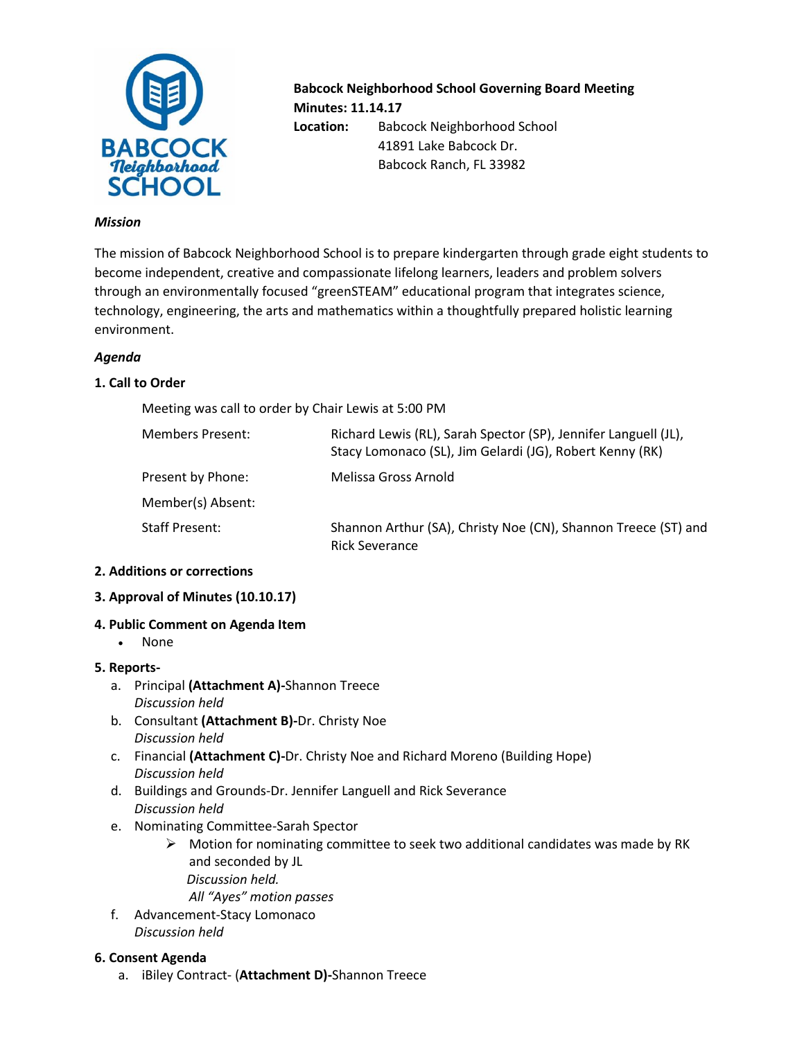

**Babcock Neighborhood School Governing Board Meeting Minutes: 11.14.17 Location:** Babcock Neighborhood School 41891 Lake Babcock Dr.

Babcock Ranch, FL 33982

#### *Mission*

The mission of Babcock Neighborhood School is to prepare kindergarten through grade eight students to become independent, creative and compassionate lifelong learners, leaders and problem solvers through an environmentally focused "greenSTEAM" educational program that integrates science, technology, engineering, the arts and mathematics within a thoughtfully prepared holistic learning environment.

### *Agenda*

## **1. Call to Order**

Meeting was call to order by Chair Lewis at 5:00 PM

| <b>Members Present:</b> | Richard Lewis (RL), Sarah Spector (SP), Jennifer Languell (JL),<br>Stacy Lomonaco (SL), Jim Gelardi (JG), Robert Kenny (RK) |
|-------------------------|-----------------------------------------------------------------------------------------------------------------------------|
| Present by Phone:       | Melissa Gross Arnold                                                                                                        |
| Member(s) Absent:       |                                                                                                                             |
| <b>Staff Present:</b>   | Shannon Arthur (SA), Christy Noe (CN), Shannon Treece (ST) and<br><b>Rick Severance</b>                                     |

## **2. Additions or corrections**

## **3. Approval of Minutes (10.10.17)**

## **4. Public Comment on Agenda Item**

• None

## **5. Reports-**

- a. Principal **(Attachment A)-**Shannon Treece *Discussion held*
- b. Consultant **(Attachment B)-**Dr. Christy Noe *Discussion held*
- c. Financial **(Attachment C)-**Dr. Christy Noe and Richard Moreno (Building Hope) *Discussion held*
- d. Buildings and Grounds-Dr. Jennifer Languell and Rick Severance *Discussion held*
- e. Nominating Committee-Sarah Spector
	- $\triangleright$  Motion for nominating committee to seek two additional candidates was made by RK and seconded by JL  *Discussion held.*
		- *All "Ayes" motion passes*
- f. Advancement-Stacy Lomonaco *Discussion held*

#### **6. Consent Agenda**

a. iBiley Contract- (**Attachment D)-**Shannon Treece